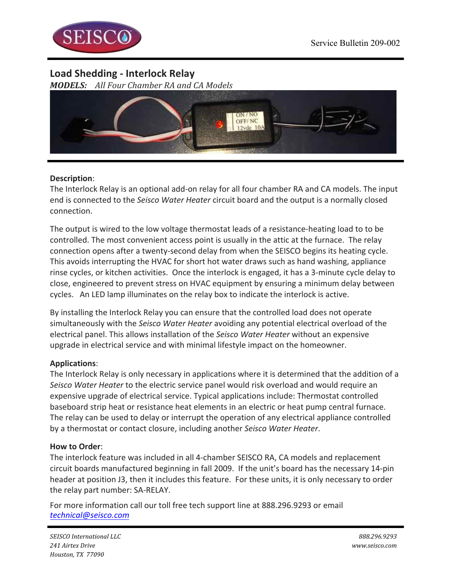

# **Load Shedding - Interlock Relay**

*MODELS: All Four Chamber RA and CA Models*



## **Description**:

The Interlock Relay is an optional add-on relay for all four chamber RA and CA models. The input end is connected to the *Seisco Water Heater* circuit board and the output is a normally closed connection. 

The output is wired to the low voltage thermostat leads of a resistance-heating load to to be controlled. The most convenient access point is usually in the attic at the furnace. The relay connection opens after a twenty-second delay from when the SEISCO begins its heating cycle. This avoids interrupting the HVAC for short hot water draws such as hand washing, appliance rinse cycles, or kitchen activities. Once the interlock is engaged, it has a 3-minute cycle delay to close, engineered to prevent stress on HVAC equipment by ensuring a minimum delay between cycles. An LED lamp illuminates on the relay box to indicate the interlock is active.

By installing the Interlock Relay you can ensure that the controlled load does not operate simultaneously with the *Seisco Water Heater* avoiding any potential electrical overload of the electrical panel. This allows installation of the *Seisco Water Heater* without an expensive upgrade in electrical service and with minimal lifestyle impact on the homeowner.

## **Applications**:

The Interlock Relay is only necessary in applications where it is determined that the addition of a Seisco Water Heater to the electric service panel would risk overload and would require an expensive upgrade of electrical service. Typical applications include: Thermostat controlled baseboard strip heat or resistance heat elements in an electric or heat pump central furnace. The relay can be used to delay or interrupt the operation of any electrical appliance controlled by a thermostat or contact closure, including another Seisco Water Heater.

### **How to Order**:

The interlock feature was included in all 4-chamber SEISCO RA, CA models and replacement circuit boards manufactured beginning in fall 2009. If the unit's board has the necessary 14-pin header at position J3, then it includes this feature. For these units, it is only necessary to order the relay part number: SA-RELAY.

For more information call our toll free tech support line at 888.296.9293 or email *technical@seisco.com*

*SEISCO International LLC 888.296.9293 241 Airtex Drive www.seisco.com Houston, TX 77090*